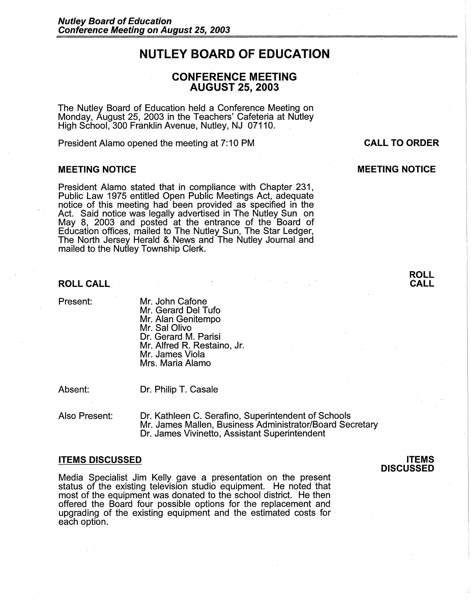# **NUTLEY BOARD OF EDUCATION**

# **CONFERENCE MEETING AUGUST 25, 2003**

The Nutley Board of Education held a Conference Meeting on Monday, August 25, 2003 in the Teachers' Cafeteria at Nutley High School, 300 Franklin Avenue, Nutley, NJ 07110.

President Alamo opened the meeting at 7: 10 PM

## **MEETING NOTICE**

President Alamo stated that in compliance with Chapter 231, Public Law 1975 entitled Open Public Meetings Act, adequate notice of this meeting had been provided as specified in the Act. Said notice was legally advertised in The Nutley Sun on May 8, 2003 and posted at the entrance of the Board of Education offices, mailed to The Nutley Sun, The Star Ledger, The North Jersey Herald & News and The Nutley Journal and mailed to the Nutley Township Clerk.

## **ROLL CALL**

Present:

Mr. John Cafone Mr. Gerard Del Tufo Mr. Alan Genitempo Mr. Sal Olivo Dr. Gerard M. Parisi Mr. Alfred R. Restaino, Jr. Mr. James Viola Mrs. Maria Alamo

Absent:

Dr. Philip T. Casale

Also Present: Dr. Kathleen C. Serafino, Superintendent of Schools Mr. James Mallen, Business Administrator/Board Secretary Dr. James Vivinetto, Assistant Superintendent

#### **ITEMS DISCUSSED**

Media Specialist Jim Kelly gave a presentation on the present status of the existing television studio equipment. He noted that most of the equipment was donated to the school district. He then offered the Board four possible options for the replacement and upgrading of the existing equipment and the estimated costs for · each option.

**ITEMS DISCUSSED** 

# **CALL TO ORDER**

# **MEETING NOTICE**